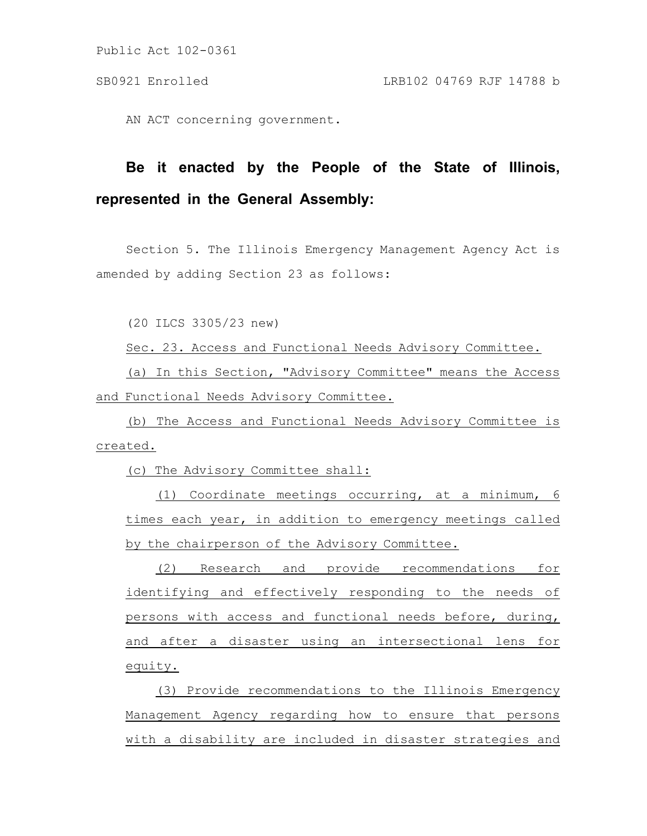Public Act 102-0361

AN ACT concerning government.

## **Be it enacted by the People of the State of Illinois, represented in the General Assembly:**

Section 5. The Illinois Emergency Management Agency Act is amended by adding Section 23 as follows:

(20 ILCS 3305/23 new)

Sec. 23. Access and Functional Needs Advisory Committee.

(a) In this Section, "Advisory Committee" means the Access and Functional Needs Advisory Committee.

(b) The Access and Functional Needs Advisory Committee is created.

(c) The Advisory Committee shall:

(1) Coordinate meetings occurring, at a minimum, 6 times each year, in addition to emergency meetings called by the chairperson of the Advisory Committee.

(2) Research and provide recommendations for identifying and effectively responding to the needs of persons with access and functional needs before, during, and after a disaster using an intersectional lens for equity.

(3) Provide recommendations to the Illinois Emergency Management Agency regarding how to ensure that persons with a disability are included in disaster strategies and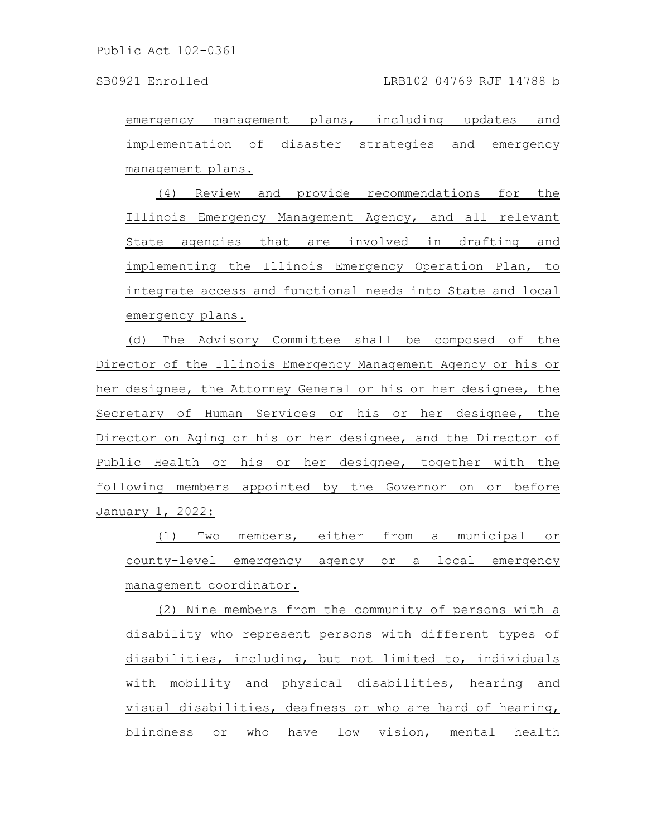emergency management plans, including updates and implementation of disaster strategies and emergency management plans.

(4) Review and provide recommendations for the Illinois Emergency Management Agency, and all relevant State agencies that are involved in drafting and implementing the Illinois Emergency Operation Plan, to integrate access and functional needs into State and local emergency plans.

(d) The Advisory Committee shall be composed of the Director of the Illinois Emergency Management Agency or his or her designee, the Attorney General or his or her designee, the Secretary of Human Services or his or her designee, the Director on Aging or his or her designee, and the Director of Public Health or his or her designee, together with the following members appointed by the Governor on or before January 1, 2022:

(1) Two members, either from a municipal or county-level emergency agency or a local emergency management coordinator.

(2) Nine members from the community of persons with a disability who represent persons with different types of disabilities, including, but not limited to, individuals with mobility and physical disabilities, hearing and visual disabilities, deafness or who are hard of hearing, blindness or who have low vision, mental health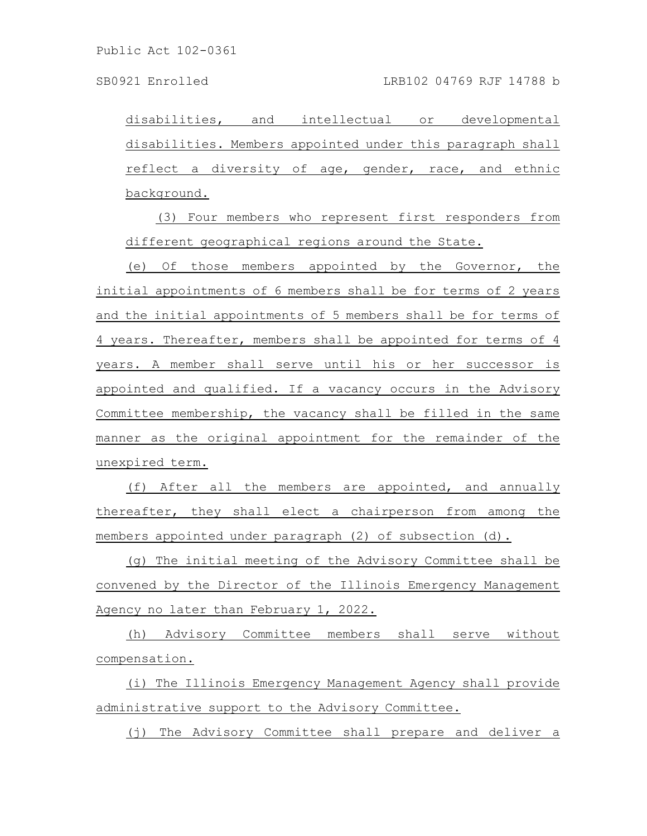Public Act 102-0361

SB0921 Enrolled LRB102 04769 RJF 14788 b

disabilities, and intellectual or developmental disabilities. Members appointed under this paragraph shall reflect a diversity of age, gender, race, and ethnic background.

(3) Four members who represent first responders from different geographical regions around the State.

(e) Of those members appointed by the Governor, the initial appointments of 6 members shall be for terms of 2 years and the initial appointments of 5 members shall be for terms of 4 years. Thereafter, members shall be appointed for terms of 4 years. A member shall serve until his or her successor is appointed and qualified. If a vacancy occurs in the Advisory Committee membership, the vacancy shall be filled in the same manner as the original appointment for the remainder of the unexpired term.

(f) After all the members are appointed, and annually thereafter, they shall elect a chairperson from among the members appointed under paragraph (2) of subsection (d).

(g) The initial meeting of the Advisory Committee shall be convened by the Director of the Illinois Emergency Management Agency no later than February 1, 2022.

(h) Advisory Committee members shall serve without compensation.

(i) The Illinois Emergency Management Agency shall provide administrative support to the Advisory Committee.

(j) The Advisory Committee shall prepare and deliver a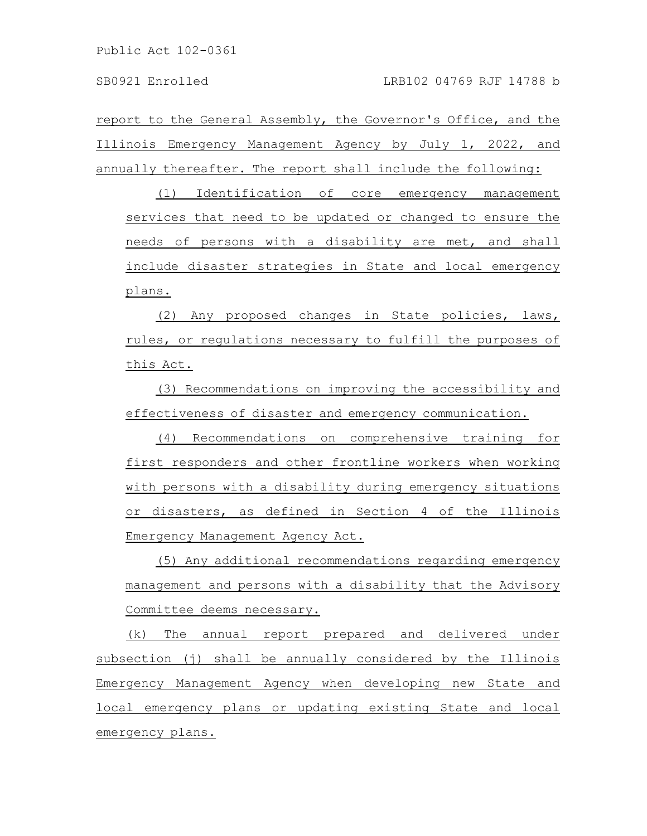report to the General Assembly, the Governor's Office, and the Illinois Emergency Management Agency by July 1, 2022, and annually thereafter. The report shall include the following:

(1) Identification of core emergency management services that need to be updated or changed to ensure the needs of persons with a disability are met, and shall include disaster strategies in State and local emergency plans.

(2) Any proposed changes in State policies, laws, rules, or regulations necessary to fulfill the purposes of this Act.

(3) Recommendations on improving the accessibility and effectiveness of disaster and emergency communication.

(4) Recommendations on comprehensive training for first responders and other frontline workers when working with persons with a disability during emergency situations or disasters, as defined in Section 4 of the Illinois Emergency Management Agency Act.

(5) Any additional recommendations regarding emergency management and persons with a disability that the Advisory Committee deems necessary.

(k) The annual report prepared and delivered under subsection (j) shall be annually considered by the Illinois Emergency Management Agency when developing new State and local emergency plans or updating existing State and local emergency plans.